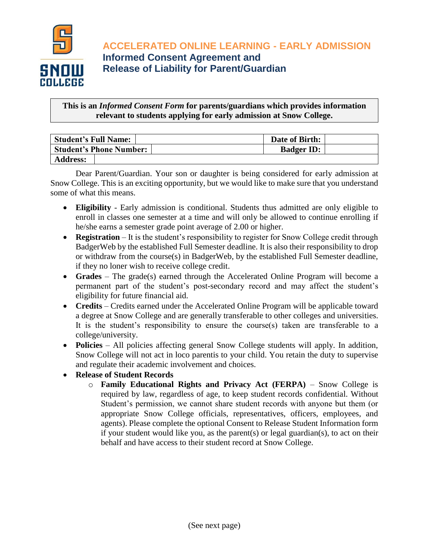

**ACCELERATED ONLINE LEARNING - EARLY ADMISSION Informed Consent Agreement and Release of Liability for Parent/Guardian**

**This is an** *Informed Consent Form* **for parents/guardians which provides information relevant to students applying for early admission at Snow College.**

| <b>Student's Full Name:</b>    | Date of Birth:    |
|--------------------------------|-------------------|
| <b>Student's Phone Number:</b> | <b>Badger ID:</b> |
| <b>Address:</b>                |                   |

Dear Parent/Guardian. Your son or daughter is being considered for early admission at Snow College. This is an exciting opportunity, but we would like to make sure that you understand some of what this means.

- **Eligibility** Early admission is conditional. Students thus admitted are only eligible to enroll in classes one semester at a time and will only be allowed to continue enrolling if he/she earns a semester grade point average of 2.00 or higher.
- **Registration** It is the student's responsibility to register for Snow College credit through BadgerWeb by the established Full Semester deadline. It is also their responsibility to drop or withdraw from the course(s) in BadgerWeb, by the established Full Semester deadline, if they no loner wish to receive college credit.
- **Grades** The grade(s) earned through the Accelerated Online Program will become a permanent part of the student's post-secondary record and may affect the student's eligibility for future financial aid.
- **Credits**  Credits earned under the Accelerated Online Program will be applicable toward a degree at Snow College and are generally transferable to other colleges and universities. It is the student's responsibility to ensure the course(s) taken are transferable to a college/university.
- **Policies** All policies affecting general Snow College students will apply. In addition, Snow College will not act in loco parentis to your child. You retain the duty to supervise and regulate their academic involvement and choices.
- **Release of Student Records**
	- o **Family Educational Rights and Privacy Act (FERPA)** Snow College is required by law, regardless of age, to keep student records confidential. Without Student's permission, we cannot share student records with anyone but them (or appropriate Snow College officials, representatives, officers, employees, and agents). Please complete the optional Consent to Release Student Information form if your student would like you, as the parent(s) or legal guardian(s), to act on their behalf and have access to their student record at Snow College.